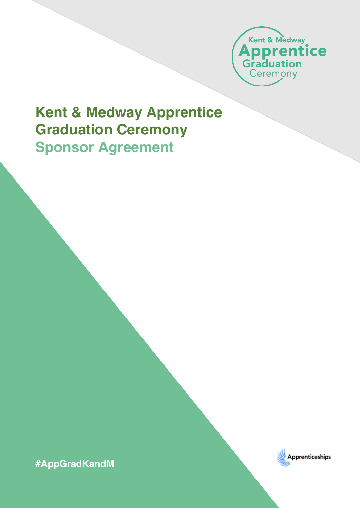

## **Kent & Medway Apprentice Graduation Ceremony Sponsor Agreement**

**#AppGradKandM**

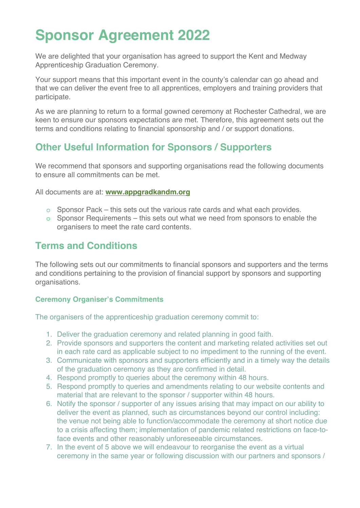# **Sponsor Agreement 2022**

We are delighted that your organisation has agreed to support the Kent and Medway Apprenticeship Graduation Ceremony.

Your support means that this important event in the county's calendar can go ahead and that we can deliver the event free to all apprentices, employers and training providers that participate.

As we are planning to return to a formal gowned ceremony at Rochester Cathedral, we are keen to ensure our sponsors expectations are met. Therefore, this agreement sets out the terms and conditions relating to financial sponsorship and / or support donations.

## **Other Useful Information for Sponsors / Supporters**

We recommend that sponsors and supporting organisations read the following documents to ensure all commitments can be met.

All documents are at: **www.appgradkandm.org**

- $\circ$  Sponsor Pack this sets out the various rate cards and what each provides.
- $\circ$  Sponsor Requirements this sets out what we need from sponsors to enable the organisers to meet the rate card contents.

## **Terms and Conditions**

The following sets out our commitments to financial sponsors and supporters and the terms and conditions pertaining to the provision of financial support by sponsors and supporting organisations.

#### **Ceremony Organiser's Commitments**

The organisers of the apprenticeship graduation ceremony commit to:

- 1. Deliver the graduation ceremony and related planning in good faith.
- 2. Provide sponsors and supporters the content and marketing related activities set out in each rate card as applicable subject to no impediment to the running of the event.
- 3. Communicate with sponsors and supporters efficiently and in a timely way the details of the graduation ceremony as they are confirmed in detail.
- 4. Respond promptly to queries about the ceremony within 48 hours.
- 5. Respond promptly to queries and amendments relating to our website contents and material that are relevant to the sponsor / supporter within 48 hours.
- 6. Notify the sponsor / supporter of any issues arising that may impact on our ability to deliver the event as planned, such as circumstances beyond our control including: the venue not being able to function/accommodate the ceremony at short notice due to a crisis affecting them; implementation of pandemic related restrictions on face-toface events and other reasonably unforeseeable circumstances.
- 7. In the event of 5 above we will endeavour to reorganise the event as a virtual ceremony in the same year or following discussion with our partners and sponsors /